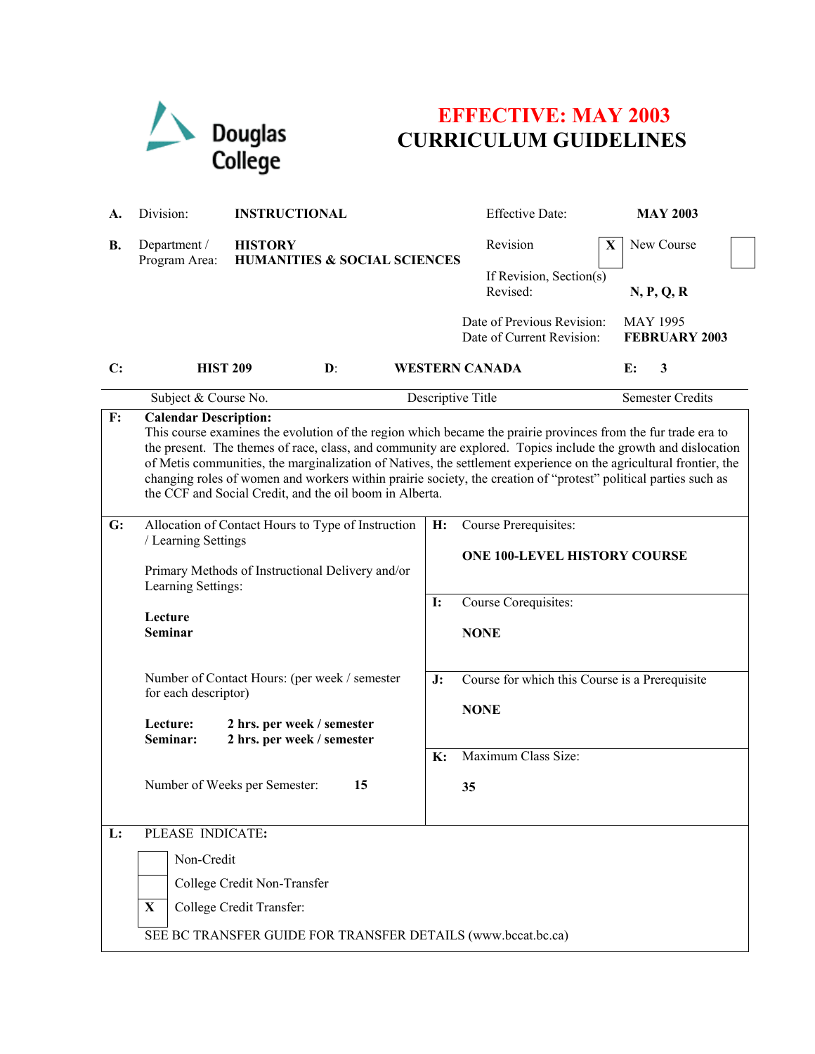|           | Douglas<br>College                                                                                                                                                                                                                                                                                                                                                                                                                                                                                                                                                |                                                                        |    | <b>EFFECTIVE: MAY 2003</b><br><b>CURRICULUM GUIDELINES</b>                                                                                                                                                                            |                                         |  |
|-----------|-------------------------------------------------------------------------------------------------------------------------------------------------------------------------------------------------------------------------------------------------------------------------------------------------------------------------------------------------------------------------------------------------------------------------------------------------------------------------------------------------------------------------------------------------------------------|------------------------------------------------------------------------|----|---------------------------------------------------------------------------------------------------------------------------------------------------------------------------------------------------------------------------------------|-----------------------------------------|--|
| А.        | Division:                                                                                                                                                                                                                                                                                                                                                                                                                                                                                                                                                         | <b>INSTRUCTIONAL</b>                                                   |    | <b>Effective Date:</b>                                                                                                                                                                                                                | <b>MAY 2003</b>                         |  |
| <b>B.</b> | Department /<br>Program Area:                                                                                                                                                                                                                                                                                                                                                                                                                                                                                                                                     | <b>HISTORY</b><br><b>HUMANITIES &amp; SOCIAL SCIENCES</b>              |    | Revision<br>X                                                                                                                                                                                                                         | New Course                              |  |
|           |                                                                                                                                                                                                                                                                                                                                                                                                                                                                                                                                                                   |                                                                        |    | If Revision, Section(s)<br>Revised:                                                                                                                                                                                                   | N, P, Q, R                              |  |
|           |                                                                                                                                                                                                                                                                                                                                                                                                                                                                                                                                                                   |                                                                        |    | Date of Previous Revision:<br>Date of Current Revision:                                                                                                                                                                               | <b>MAY 1995</b><br><b>FEBRUARY 2003</b> |  |
| C:        | <b>HIST 209</b>                                                                                                                                                                                                                                                                                                                                                                                                                                                                                                                                                   | $\mathbf{D}$ :                                                         |    | <b>WESTERN CANADA</b>                                                                                                                                                                                                                 | 3<br>E:                                 |  |
|           |                                                                                                                                                                                                                                                                                                                                                                                                                                                                                                                                                                   | Subject & Course No.                                                   |    | Descriptive Title                                                                                                                                                                                                                     | <b>Semester Credits</b>                 |  |
| F:        | <b>Calendar Description:</b><br>This course examines the evolution of the region which became the prairie provinces from the fur trade era to<br>the present. The themes of race, class, and community are explored. Topics include the growth and dislocation<br>of Metis communities, the marginalization of Natives, the settlement experience on the agricultural frontier, the<br>changing roles of women and workers within prairie society, the creation of "protest" political parties such as<br>the CCF and Social Credit, and the oil boom in Alberta. |                                                                        |    |                                                                                                                                                                                                                                       |                                         |  |
| G:        | Allocation of Contact Hours to Type of Instruction<br>/ Learning Settings                                                                                                                                                                                                                                                                                                                                                                                                                                                                                         |                                                                        | H: | Course Prerequisites:<br><b>ONE 100-LEVEL HISTORY COURSE</b><br>Course Corequisites:<br>$\mathbf{I}$ :<br><b>NONE</b><br>J:<br>Course for which this Course is a Prerequisite<br><b>NONE</b><br>Maximum Class Size:<br>$\mathbf{K}$ : |                                         |  |
|           | Lecture<br>Seminar                                                                                                                                                                                                                                                                                                                                                                                                                                                                                                                                                | Primary Methods of Instructional Delivery and/or<br>Learning Settings: |    |                                                                                                                                                                                                                                       |                                         |  |
|           | Number of Contact Hours: (per week / semester<br>for each descriptor)<br>Lecture:<br>2 hrs. per week / semester<br>Seminar:<br>2 hrs. per week / semester                                                                                                                                                                                                                                                                                                                                                                                                         |                                                                        |    |                                                                                                                                                                                                                                       |                                         |  |
|           | Number of Weeks per Semester:                                                                                                                                                                                                                                                                                                                                                                                                                                                                                                                                     | 15                                                                     |    | 35                                                                                                                                                                                                                                    |                                         |  |
| L:        | PLEASE INDICATE:<br>Non-Credit<br>College Credit Non-Transfer<br>College Credit Transfer:<br>$\mathbf{X}$<br>SEE BC TRANSFER GUIDE FOR TRANSFER DETAILS (www.bccat.bc.ca)                                                                                                                                                                                                                                                                                                                                                                                         |                                                                        |    |                                                                                                                                                                                                                                       |                                         |  |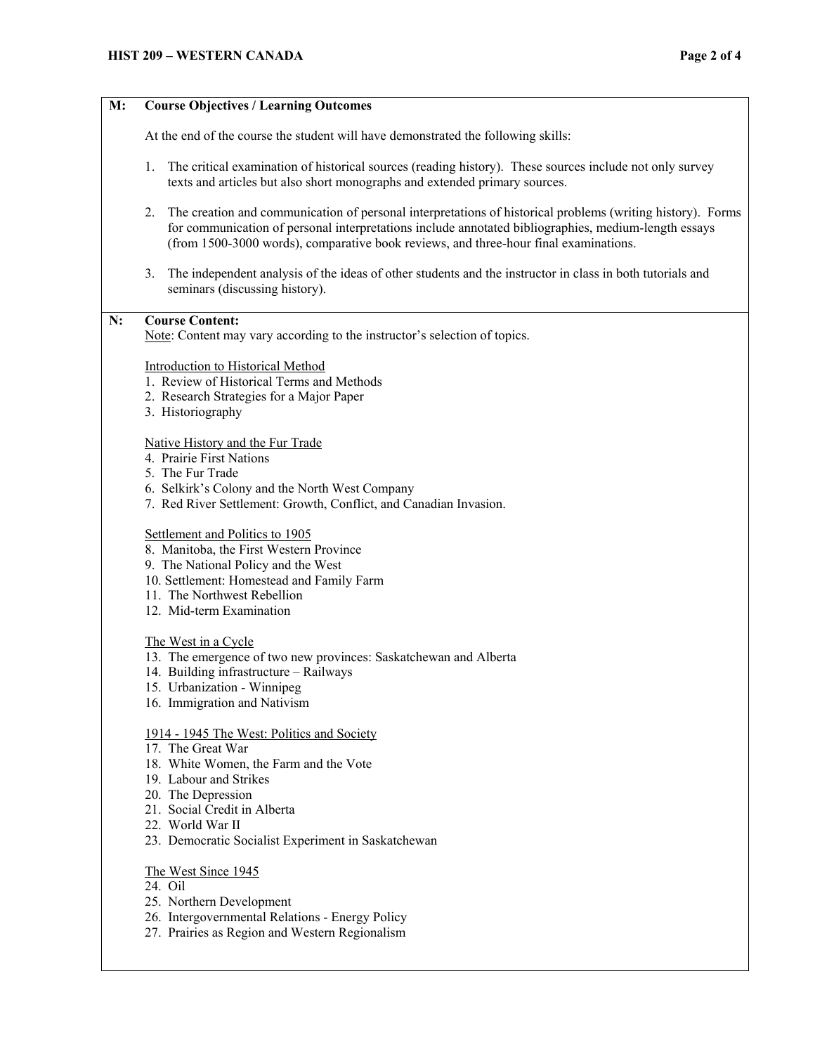# **M: Course Objectives / Learning Outcomes**

At the end of the course the student will have demonstrated the following skills:

- 1. The critical examination of historical sources (reading history). These sources include not only survey texts and articles but also short monographs and extended primary sources.
- 2. The creation and communication of personal interpretations of historical problems (writing history). Forms for communication of personal interpretations include annotated bibliographies, medium-length essays (from 1500-3000 words), comparative book reviews, and three-hour final examinations.
- 3. The independent analysis of the ideas of other students and the instructor in class in both tutorials and seminars (discussing history).

## **N: Course Content:**

Note: Content may vary according to the instructor's selection of topics.

# Introduction to Historical Method

- 1. Review of Historical Terms and Methods
- 2. Research Strategies for a Major Paper
- 3. Historiography

## Native History and the Fur Trade

- 4. Prairie First Nations
- 5. The Fur Trade
- 6. Selkirk's Colony and the North West Company
- 7. Red River Settlement: Growth, Conflict, and Canadian Invasion.

#### Settlement and Politics to 1905

- 8. Manitoba, the First Western Province
- 9. The National Policy and the West
- 10. Settlement: Homestead and Family Farm
- 11. The Northwest Rebellion
- 12. Mid-term Examination

#### The West in a Cycle

- 13. The emergence of two new provinces: Saskatchewan and Alberta
- 14. Building infrastructure Railways
- 15. Urbanization Winnipeg
- 16. Immigration and Nativism

#### 1914 - 1945 The West: Politics and Society

- 17. The Great War
- 18. White Women, the Farm and the Vote
- 19. Labour and Strikes
- 20. The Depression
- 21. Social Credit in Alberta
- 22. World War II
- 23. Democratic Socialist Experiment in Saskatchewan

## The West Since 1945

- 24. Oil
- 25. Northern Development
- 26. Intergovernmental Relations Energy Policy
- 27. Prairies as Region and Western Regionalism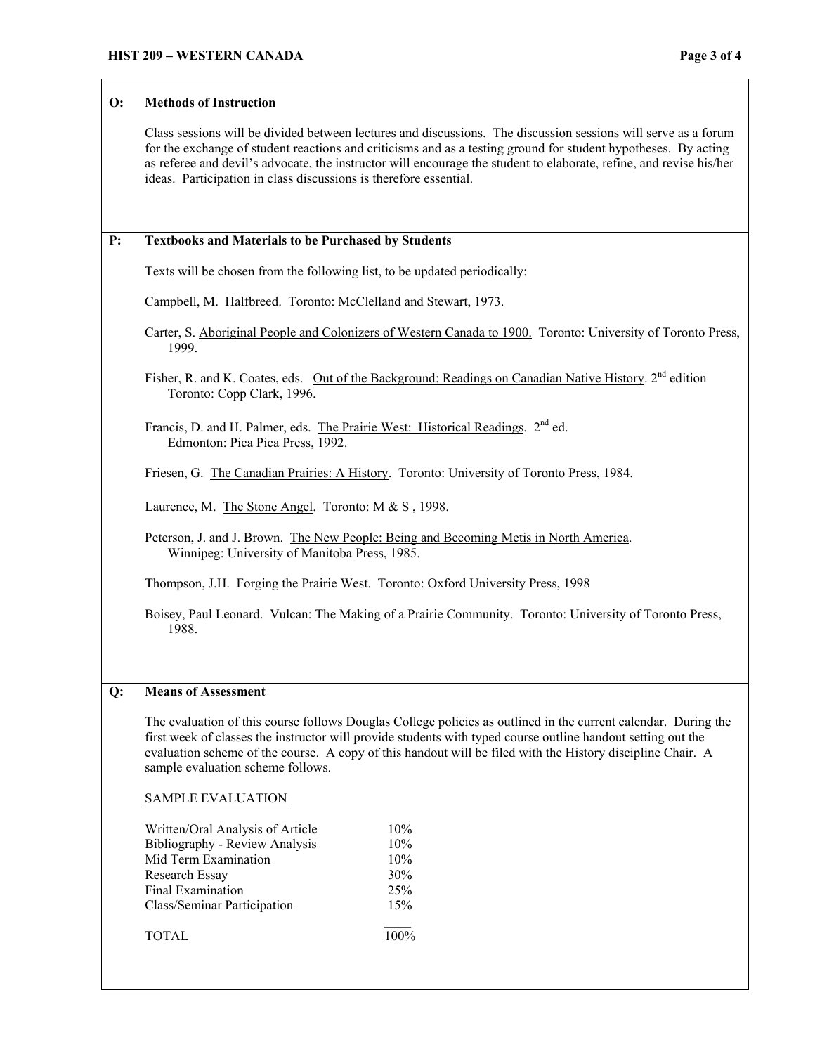### **O: Methods of Instruction**

Class sessions will be divided between lectures and discussions. The discussion sessions will serve as a forum for the exchange of student reactions and criticisms and as a testing ground for student hypotheses. By acting as referee and devil's advocate, the instructor will encourage the student to elaborate, refine, and revise his/her ideas. Participation in class discussions is therefore essential.

# **P: Textbooks and Materials to be Purchased by Students**

Texts will be chosen from the following list, to be updated periodically:

Campbell, M. Halfbreed. Toronto: McClelland and Stewart, 1973.

Carter, S. Aboriginal People and Colonizers of Western Canada to 1900. Toronto: University of Toronto Press, 1999.

Fisher, R. and K. Coates, eds. Out of the Background: Readings on Canadian Native History. 2<sup>nd</sup> edition Toronto: Copp Clark, 1996.

Francis, D. and H. Palmer, eds. The Prairie West: Historical Readings. 2<sup>nd</sup> ed. Edmonton: Pica Pica Press, 1992.

Friesen, G. The Canadian Prairies: A History. Toronto: University of Toronto Press, 1984.

Laurence, M. The Stone Angel. Toronto: M & S , 1998.

Peterson, J. and J. Brown. The New People: Being and Becoming Metis in North America. Winnipeg: University of Manitoba Press, 1985.

Thompson, J.H. Forging the Prairie West. Toronto: Oxford University Press, 1998

Boisey, Paul Leonard. Vulcan: The Making of a Prairie Community. Toronto: University of Toronto Press, 1988.

#### **Q: Means of Assessment**

The evaluation of this course follows Douglas College policies as outlined in the current calendar. During the first week of classes the instructor will provide students with typed course outline handout setting out the evaluation scheme of the course. A copy of this handout will be filed with the History discipline Chair. A sample evaluation scheme follows.

## SAMPLE EVALUATION

| Written/Oral Analysis of Article | 10%  |
|----------------------------------|------|
| Bibliography - Review Analysis   | 10%  |
| Mid Term Examination             | 10%  |
| Research Essay                   | 30%  |
| Final Examination                | 25%  |
| Class/Seminar Participation      | 15%  |
| <b>TOTAL</b>                     | 100% |